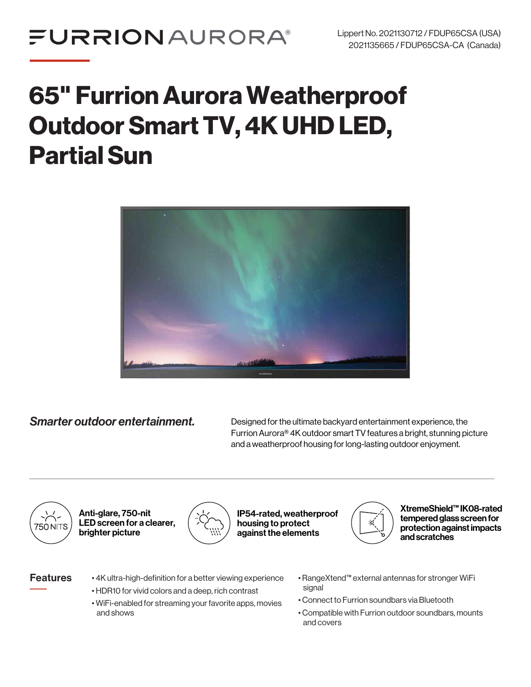# 65" Furrion Aurora Weatherproof Outdoor Smart TV, 4K UHD LED, Partial Sun



**Smarter outdoor entertainment.** Designed for the ultimate backyard entertainment experience, the Furrion Aurora® 4K outdoor smart TV features a bright, stunning picture and a weatherproof housing for long-lasting outdoor enjoyment.



Anti-glare, 750-nit LED screen for a clearer, brighter picture



IP54-rated, weatherproof housing to protect against the elements



XtremeShield™ IK08-rated tempered glass screen for protection against impacts and scratches

- **Features** •4K ultra-high-definition for a better viewing experience • HDR10 for vivid colors and a deep, rich contrast
	- WiFi-enabled for streaming your favorite apps, movies and shows
- RangeXtend™ external antennas for stronger WiFi signal
- Connect to Furrion soundbars via Bluetooth
- Compatible with Furrion outdoor soundbars, mounts and covers